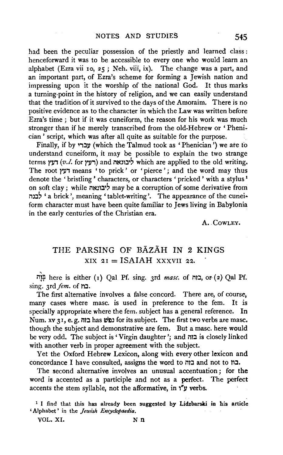had been the peculiar possession of the priestly and learned class : henceforward it was to be accessible to every one who would learn an alphabet (Ezra vii Io, 25; Neh. viii, ix). The change was a part, and an important part, of Ezra's scheme for forming a Jewish nation and impressing upon it the worship of the national God. It thus marks a turning-point in the history of religion, and we can easily understand that the tradition of it survived to the days of the Amoraim. There is no positive evidence as to the character in which the Law was written before Ezra's time ; but if it was cuneiform, the reason for his work was much stronger than if he merely transcribed from the old-Hebrew or 'Phenician ' script, which was after all quite as suitable for the purpose.

Finally, if by עברי (which the Talmud took as 'Phenician') we ate to understand cuneiform, it may be possible to explain the two strange terms ירעץ *(v.l.* for רעץ) and ליבונאה which are applied to the old writing. The root דעץ means ' to prick' or 'pierce'; and the word may thus denote the 'bristling' characters, or characters 'pricked' with a stylus<sup>1</sup> on soft clay ; while ליבונאה may be a corruption of some derivative from m:l' 'a brick', meaning 'tablet-writing'. The appearance of the cunei· form character must have been quite familiar to Jews living in Babylonia in the early centuries of the Christian era.

A. CowLEY.

## THE PARSING OF BAZAH IN 2 KINGS  $XIX 2I = ISAIAH XXXVII 22.$

illf here is either ( 1) Qal Pf. sing. 3rd *masc.* of ilt:l, or ( 2) Qal Pf. sing. *3rd fem.* of **בוז**.

The first alternative involves a false concord. There are, of course, many cases where masc. is used in preference to the fem. It is specially appropriate where the fern. subject has a general reference. In Num. xv 31, e. g. נה בוה for its subject. The first two verbs are masc. though the subject and demonstrative are fem. But a masc. here would be very odd. The subject is 'Virgin daughter'; and בזה is closely linked with another verb in proper agreement with the subject.

Yet the Oxford Hebrew Lexicon, along with every other lexicon and concordance I have consulted, assigns the word to בוה בת and not to  $n$ .

The second alternative involves an unusual accentuation ; for the word is accented as a participle and not as a perfect. The perfect accents the stem syllable, not the afformative, in  $y''y$  verbs.

<sup>1</sup> I find that this has already been suggested by Lidzbarski in his article 'Alphabet' in the *Jewish Encyclopaedia.* 

VOL. XI. N n